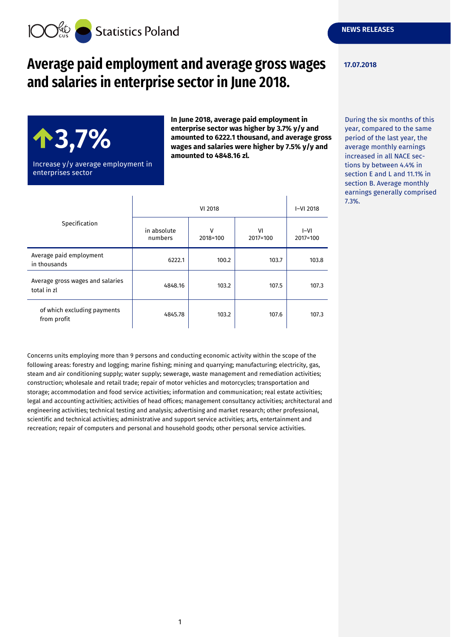

# **Average paid employment and average gross wages and salaries in enterprise sector in June 2018.**



Increase y/y average employment in enterprises sector

**In June 2018, average paid employment in enterprise sector was higher by 3.7% y/y and amounted to 6222.1 thousand, and average gross wages and salaries were higher by 7.5% y/y and amounted to 4848.16 zl.**

| Specification                                   | VI 2018                |               |                | $I-VI$ 2018        |
|-------------------------------------------------|------------------------|---------------|----------------|--------------------|
|                                                 | in absolute<br>numbers | v<br>2018=100 | VI<br>2017=100 | $I-VI$<br>2017=100 |
| Average paid employment<br>in thousands         | 6222.1                 | 100.2         | 103.7          | 103.8              |
| Average gross wages and salaries<br>total in zl | 4848.16                | 103.2         | 107.5          | 107.3              |
| of which excluding payments<br>from profit      | 4845.78                | 103.2         | 107.6          | 107.3              |

Concerns units employing more than 9 persons and conducting economic activity within the scope of the following areas: forestry and logging; marine fishing; mining and quarrying; manufacturing; electricity, gas, steam and air conditioning supply; water supply; sewerage, waste management and remediation activities; construction; wholesale and retail trade; repair of motor vehicles and motorcycles; transportation and storage; accommodation and food service activities; information and communication; real estate activities; legal and accounting activities; activities of head offices; management consultancy activities; architectural and engineering activities; technical testing and analysis; advertising and market research; other professional, scientific and technical activities; administrative and support service activities; arts, entertainment and recreation; repair of computers and personal and household goods; other personal service activities.

#### **17.07.2018**

During the six months of this year, compared to the same period of the last year, the average monthly earnings increased in all NACE sections by between 4.4% in section E and L and 11.1% in section B. Average monthly earnings generally comprised 7.3%.